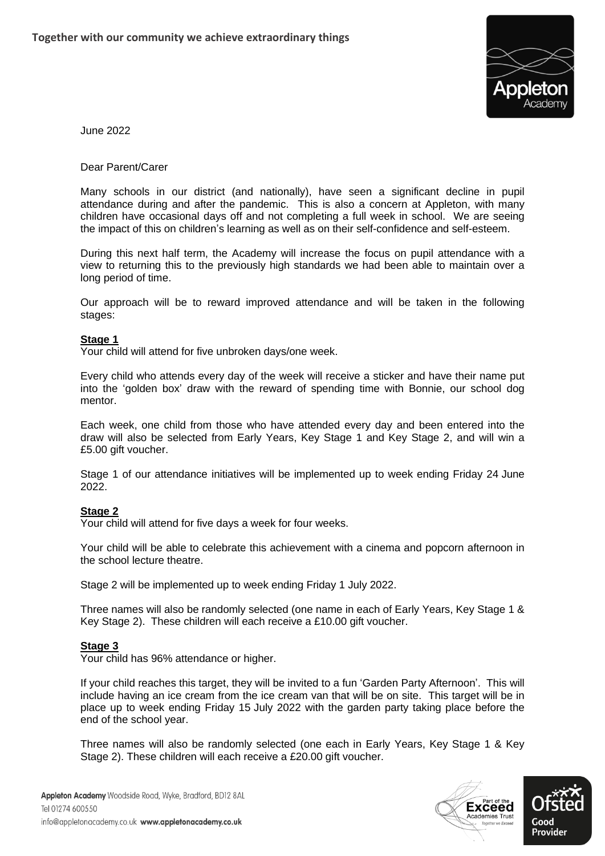

June 2022

Dear Parent/Carer

Many schools in our district (and nationally), have seen a significant decline in pupil attendance during and after the pandemic. This is also a concern at Appleton, with many children have occasional days off and not completing a full week in school. We are seeing the impact of this on children's learning as well as on their self-confidence and self-esteem.

During this next half term, the Academy will increase the focus on pupil attendance with a view to returning this to the previously high standards we had been able to maintain over a long period of time.

Our approach will be to reward improved attendance and will be taken in the following stages:

## **Stage 1**

Your child will attend for five unbroken days/one week.

Every child who attends every day of the week will receive a sticker and have their name put into the 'golden box' draw with the reward of spending time with Bonnie, our school dog mentor.

Each week, one child from those who have attended every day and been entered into the draw will also be selected from Early Years, Key Stage 1 and Key Stage 2, and will win a £5.00 gift voucher.

Stage 1 of our attendance initiatives will be implemented up to week ending Friday 24 June 2022.

## **Stage 2**

Your child will attend for five days a week for four weeks.

Your child will be able to celebrate this achievement with a cinema and popcorn afternoon in the school lecture theatre.

Stage 2 will be implemented up to week ending Friday 1 July 2022.

Three names will also be randomly selected (one name in each of Early Years, Key Stage 1 & Key Stage 2). These children will each receive a £10.00 gift voucher.

## **Stage 3**

Your child has 96% attendance or higher.

If your child reaches this target, they will be invited to a fun 'Garden Party Afternoon'. This will include having an ice cream from the ice cream van that will be on site. This target will be in place up to week ending Friday 15 July 2022 with the garden party taking place before the end of the school year.

Three names will also be randomly selected (one each in Early Years, Key Stage 1 & Key Stage 2). These children will each receive a £20.00 gift voucher.